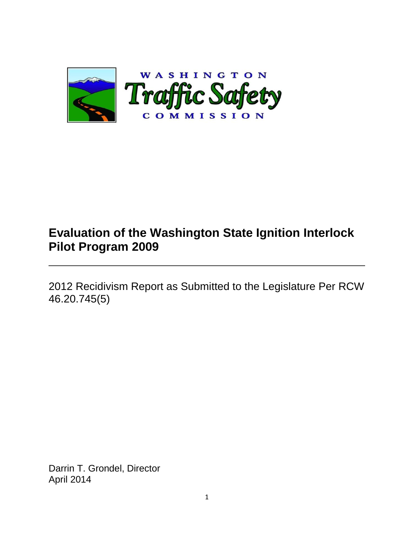

# **Evaluation of the Washington State Ignition Interlock Pilot Program 2009**

2012 Recidivism Report as Submitted to the Legislature Per RCW 46.20.745(5)

Darrin T. Grondel, Director April 2014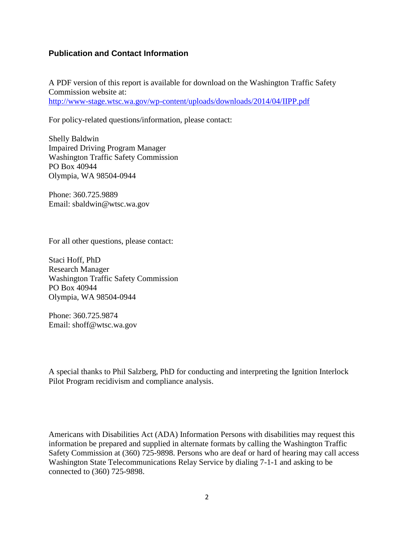### **Publication and Contact Information**

A PDF version of this report is available for download on the Washington Traffic Safety Commission website at: <http://www-stage.wtsc.wa.gov/wp-content/uploads/downloads/2014/04/IIPP.pdf>

For policy-related questions/information, please contact:

Shelly Baldwin Impaired Driving Program Manager Washington Traffic Safety Commission PO Box 40944 Olympia, WA 98504-0944

Phone: 360.725.9889 Email: sbaldwin@wtsc.wa.gov

For all other questions, please contact:

Staci Hoff, PhD Research Manager Washington Traffic Safety Commission PO Box 40944 Olympia, WA 98504-0944

Phone: 360.725.9874 Email: shoff@wtsc.wa.gov

A special thanks to Phil Salzberg, PhD for conducting and interpreting the Ignition Interlock Pilot Program recidivism and compliance analysis.

Americans with Disabilities Act (ADA) Information Persons with disabilities may request this information be prepared and supplied in alternate formats by calling the Washington Traffic Safety Commission at (360) 725-9898. Persons who are deaf or hard of hearing may call access Washington State Telecommunications Relay Service by dialing 7-1-1 and asking to be connected to (360) 725-9898.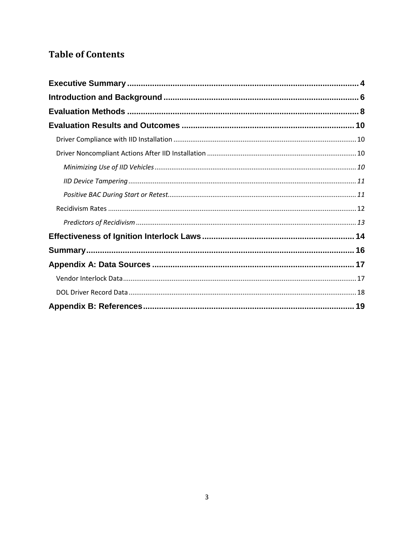## **Table of Contents**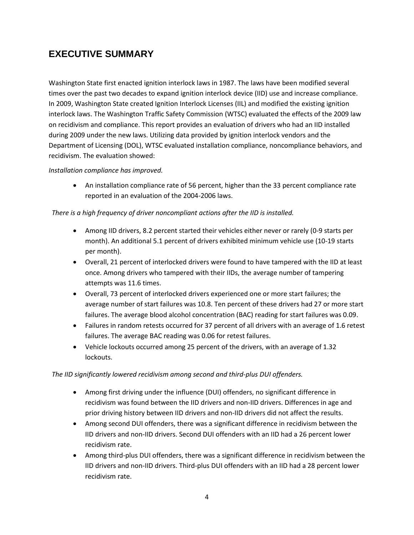## <span id="page-3-0"></span>**EXECUTIVE SUMMARY**

Washington State first enacted ignition interlock laws in 1987. The laws have been modified several times over the past two decades to expand ignition interlock device (IID) use and increase compliance. In 2009, Washington State created Ignition Interlock Licenses (IIL) and modified the existing ignition interlock laws. The Washington Traffic Safety Commission (WTSC) evaluated the effects of the 2009 law on recidivism and compliance. This report provides an evaluation of drivers who had an IID installed during 2009 under the new laws. Utilizing data provided by ignition interlock vendors and the Department of Licensing (DOL), WTSC evaluated installation compliance, noncompliance behaviors, and recidivism. The evaluation showed:

#### *Installation compliance has improved.*

 An installation compliance rate of 56 percent, higher than the 33 percent compliance rate reported in an evaluation of the 2004-2006 laws.

#### *There is a high frequency of driver noncompliant actions after the IID is installed.*

- Among IID drivers, 8.2 percent started their vehicles either never or rarely (0-9 starts per month). An additional 5.1 percent of drivers exhibited minimum vehicle use (10-19 starts per month).
- Overall, 21 percent of interlocked drivers were found to have tampered with the IID at least once. Among drivers who tampered with their IIDs, the average number of tampering attempts was 11.6 times.
- Overall, 73 percent of interlocked drivers experienced one or more start failures; the average number of start failures was 10.8. Ten percent of these drivers had 27 or more start failures. The average blood alcohol concentration (BAC) reading for start failures was 0.09.
- Failures in random retests occurred for 37 percent of all drivers with an average of 1.6 retest failures. The average BAC reading was 0.06 for retest failures.
- Vehicle lockouts occurred among 25 percent of the drivers, with an average of 1.32 lockouts.

#### *The IID significantly lowered recidivism among second and third-plus DUI offenders.*

- Among first driving under the influence (DUI) offenders, no significant difference in recidivism was found between the IID drivers and non-IID drivers. Differences in age and prior driving history between IID drivers and non-IID drivers did not affect the results.
- Among second DUI offenders, there was a significant difference in recidivism between the IID drivers and non-IID drivers. Second DUI offenders with an IID had a 26 percent lower recidivism rate.
- Among third-plus DUI offenders, there was a significant difference in recidivism between the IID drivers and non-IID drivers. Third-plus DUI offenders with an IID had a 28 percent lower recidivism rate.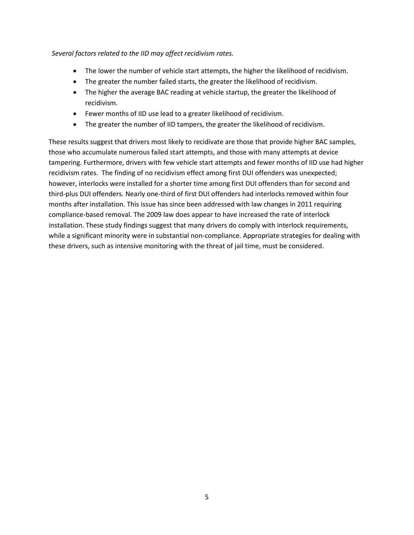*Several factors related to the IID may affect recidivism rates.*

- The lower the number of vehicle start attempts, the higher the likelihood of recidivism.
- The greater the number failed starts, the greater the likelihood of recidivism.
- The higher the average BAC reading at vehicle startup, the greater the likelihood of recidivism.
- Fewer months of IID use lead to a greater likelihood of recidivism.
- The greater the number of IID tampers, the greater the likelihood of recidivism.

These results suggest that drivers most likely to recidivate are those that provide higher BAC samples, those who accumulate numerous failed start attempts, and those with many attempts at device tampering. Furthermore, drivers with few vehicle start attempts and fewer months of IID use had higher recidivism rates. The finding of no recidivism effect among first DUI offenders was unexpected; however, interlocks were installed for a shorter time among first DUI offenders than for second and third-plus DUI offenders. Nearly one-third of first DUI offenders had interlocks removed within four months after installation. This issue has since been addressed with law changes in 2011 requiring compliance-based removal. The 2009 law does appear to have increased the rate of interlock installation. These study findings suggest that many drivers do comply with interlock requirements, while a significant minority were in substantial non-compliance. Appropriate strategies for dealing with these drivers, such as intensive monitoring with the threat of jail time, must be considered.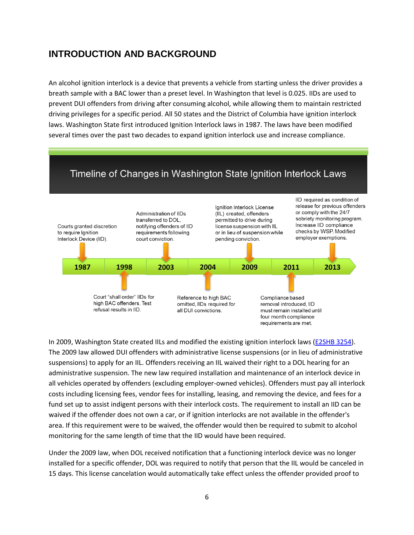## <span id="page-5-0"></span>**INTRODUCTION AND BACKGROUND**

An alcohol ignition interlock is a device that prevents a vehicle from starting unless the driver provides a breath sample with a BAC lower than a preset level. In Washington that level is 0.025. IIDs are used to prevent DUI offenders from driving after consuming alcohol, while allowing them to maintain restricted driving privileges for a specific period. All 50 states and the District of Columbia have ignition interlock laws. Washington State first introduced Ignition Interlock laws in 1987. The laws have been modified several times over the past two decades to expand ignition interlock use and increase compliance.

## Timeline of Changes in Washington State Ignition Interlock Laws



In 2009, Washington State created IILs and modified the existing ignition interlock laws [\(E2SHB 3254\)](http://apps.leg.wa.gov/documents/billdocs/2007-08/Pdf/Bills/Session%20Laws/House/3254-S2.SL.pdf). The 2009 law allowed DUI offenders with administrative license suspensions (or in lieu of administrative suspensions) to apply for an IIL. Offenders receiving an IIL waived their right to a DOL hearing for an administrative suspension. The new law required installation and maintenance of an interlock device in all vehicles operated by offenders (excluding employer-owned vehicles). Offenders must pay all interlock costs including licensing fees, vendor fees for installing, leasing, and removing the device, and fees for a fund set up to assist indigent persons with their interlock costs. The requirement to install an IID can be waived if the offender does not own a car, or if ignition interlocks are not available in the offender's area. If this requirement were to be waived, the offender would then be required to submit to alcohol monitoring for the same length of time that the IID would have been required.

Under the 2009 law, when DOL received notification that a functioning interlock device was no longer installed for a specific offender, DOL was required to notify that person that the IIL would be canceled in 15 days. This license cancelation would automatically take effect unless the offender provided proof to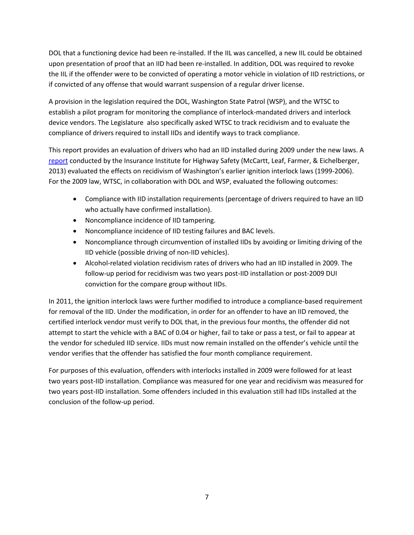DOL that a functioning device had been re-installed. If the IIL was cancelled, a new IIL could be obtained upon presentation of proof that an IID had been re-installed. In addition, DOL was required to revoke the IIL if the offender were to be convicted of operating a motor vehicle in violation of IID restrictions, or if convicted of any offense that would warrant suspension of a regular driver license.

A provision in the legislation required the DOL, Washington State Patrol (WSP), and the WTSC to establish a pilot program for monitoring the compliance of interlock-mandated drivers and interlock device vendors. The Legislature also specifically asked WTSC to track recidivism and to evaluate the compliance of drivers required to install IIDs and identify ways to track compliance.

This report provides an evaluation of drivers who had an IID installed during 2009 under the new laws. A [report](http://www.centurycouncil.org/sites/default/files/reports/Washington-Evaluation-1.pdf) conducted by the Insurance Institute for Highway Safety (McCartt, Leaf, Farmer, & Eichelberger, 2013) evaluated the effects on recidivism of Washington's earlier ignition interlock laws (1999-2006). For the 2009 law, WTSC, in collaboration with DOL and WSP, evaluated the following outcomes:

- Compliance with IID installation requirements (percentage of drivers required to have an IID who actually have confirmed installation).
- Noncompliance incidence of IID tampering.
- Noncompliance incidence of IID testing failures and BAC levels.
- Noncompliance through circumvention of installed IIDs by avoiding or limiting driving of the IID vehicle (possible driving of non-IID vehicles).
- Alcohol-related violation recidivism rates of drivers who had an IID installed in 2009. The follow-up period for recidivism was two years post-IID installation or post-2009 DUI conviction for the compare group without IIDs.

In 2011, the ignition interlock laws were further modified to introduce a compliance-based requirement for removal of the IID. Under the modification, in order for an offender to have an IID removed, the certified interlock vendor must verify to DOL that, in the previous four months, the offender did not attempt to start the vehicle with a BAC of 0.04 or higher, fail to take or pass a test, or fail to appear at the vendor for scheduled IID service. IIDs must now remain installed on the offender's vehicle until the vendor verifies that the offender has satisfied the four month compliance requirement.

For purposes of this evaluation, offenders with interlocks installed in 2009 were followed for at least two years post-IID installation. Compliance was measured for one year and recidivism was measured for two years post-IID installation. Some offenders included in this evaluation still had IIDs installed at the conclusion of the follow-up period.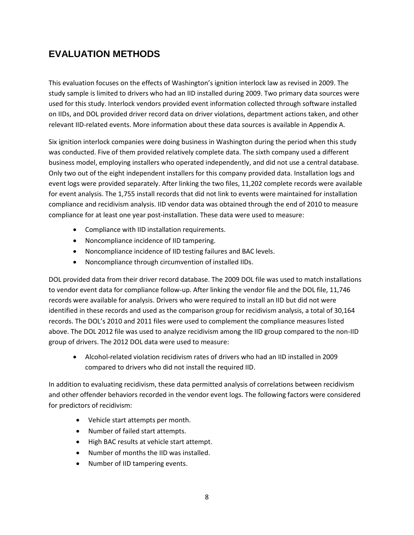## <span id="page-7-0"></span>**EVALUATION METHODS**

This evaluation focuses on the effects of Washington's ignition interlock law as revised in 2009. The study sample is limited to drivers who had an IID installed during 2009. Two primary data sources were used for this study. Interlock vendors provided event information collected through software installed on IIDs, and DOL provided driver record data on driver violations, department actions taken, and other relevant IID-related events. More information about these data sources is available in Appendix A.

Six ignition interlock companies were doing business in Washington during the period when this study was conducted. Five of them provided relatively complete data. The sixth company used a different business model, employing installers who operated independently, and did not use a central database. Only two out of the eight independent installers for this company provided data. Installation logs and event logs were provided separately. After linking the two files, 11,202 complete records were available for event analysis. The 1,755 install records that did not link to events were maintained for installation compliance and recidivism analysis. IID vendor data was obtained through the end of 2010 to measure compliance for at least one year post-installation. These data were used to measure:

- Compliance with IID installation requirements.
- Noncompliance incidence of IID tampering.
- Noncompliance incidence of IID testing failures and BAC levels.
- Noncompliance through circumvention of installed IIDs.

DOL provided data from their driver record database. The 2009 DOL file was used to match installations to vendor event data for compliance follow-up. After linking the vendor file and the DOL file, 11,746 records were available for analysis. Drivers who were required to install an IID but did not were identified in these records and used as the comparison group for recidivism analysis, a total of 30,164 records. The DOL's 2010 and 2011 files were used to complement the compliance measures listed above. The DOL 2012 file was used to analyze recidivism among the IID group compared to the non-IID group of drivers. The 2012 DOL data were used to measure:

 Alcohol-related violation recidivism rates of drivers who had an IID installed in 2009 compared to drivers who did not install the required IID.

In addition to evaluating recidivism, these data permitted analysis of correlations between recidivism and other offender behaviors recorded in the vendor event logs. The following factors were considered for predictors of recidivism:

- Vehicle start attempts per month.
- Number of failed start attempts.
- High BAC results at vehicle start attempt.
- Number of months the IID was installed.
- Number of IID tampering events.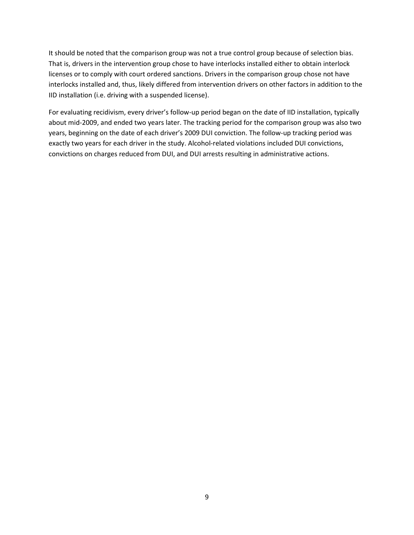It should be noted that the comparison group was not a true control group because of selection bias. That is, drivers in the intervention group chose to have interlocks installed either to obtain interlock licenses or to comply with court ordered sanctions. Drivers in the comparison group chose not have interlocks installed and, thus, likely differed from intervention drivers on other factors in addition to the IID installation (i.e. driving with a suspended license).

For evaluating recidivism, every driver's follow-up period began on the date of IID installation, typically about mid-2009, and ended two years later. The tracking period for the comparison group was also two years, beginning on the date of each driver's 2009 DUI conviction. The follow-up tracking period was exactly two years for each driver in the study. Alcohol-related violations included DUI convictions, convictions on charges reduced from DUI, and DUI arrests resulting in administrative actions.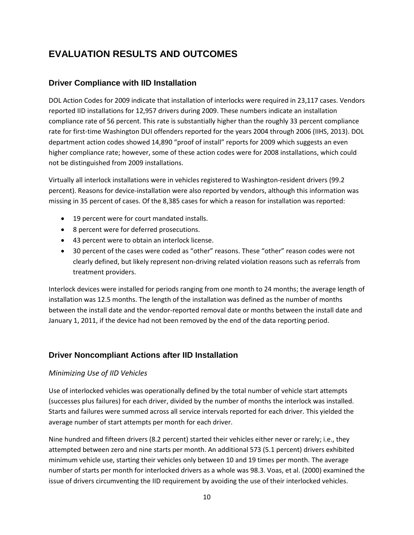## <span id="page-9-0"></span>**EVALUATION RESULTS AND OUTCOMES**

### <span id="page-9-1"></span>**Driver Compliance with IID Installation**

DOL Action Codes for 2009 indicate that installation of interlocks were required in 23,117 cases. Vendors reported IID installations for 12,957 drivers during 2009. These numbers indicate an installation compliance rate of 56 percent. This rate is substantially higher than the roughly 33 percent compliance rate for first-time Washington DUI offenders reported for the years 2004 through 2006 (IIHS, 2013). DOL department action codes showed 14,890 "proof of install" reports for 2009 which suggests an even higher compliance rate; however, some of these action codes were for 2008 installations, which could not be distinguished from 2009 installations.

Virtually all interlock installations were in vehicles registered to Washington-resident drivers (99.2 percent). Reasons for device-installation were also reported by vendors, although this information was missing in 35 percent of cases. Of the 8,385 cases for which a reason for installation was reported:

- 19 percent were for court mandated installs.
- 8 percent were for deferred prosecutions.
- 43 percent were to obtain an interlock license.
- 30 percent of the cases were coded as "other" reasons. These "other" reason codes were not clearly defined, but likely represent non-driving related violation reasons such as referrals from treatment providers.

Interlock devices were installed for periods ranging from one month to 24 months; the average length of installation was 12.5 months. The length of the installation was defined as the number of months between the install date and the vendor-reported removal date or months between the install date and January 1, 2011, if the device had not been removed by the end of the data reporting period.

### <span id="page-9-2"></span>**Driver Noncompliant Actions after IID Installation**

#### <span id="page-9-3"></span>*Minimizing Use of IID Vehicles*

Use of interlocked vehicles was operationally defined by the total number of vehicle start attempts (successes plus failures) for each driver, divided by the number of months the interlock was installed. Starts and failures were summed across all service intervals reported for each driver. This yielded the average number of start attempts per month for each driver.

Nine hundred and fifteen drivers (8.2 percent) started their vehicles either never or rarely; i.e., they attempted between zero and nine starts per month. An additional 573 (5.1 percent) drivers exhibited minimum vehicle use, starting their vehicles only between 10 and 19 times per month. The average number of starts per month for interlocked drivers as a whole was 98.3. Voas, et al. (2000) examined the issue of drivers circumventing the IID requirement by avoiding the use of their interlocked vehicles.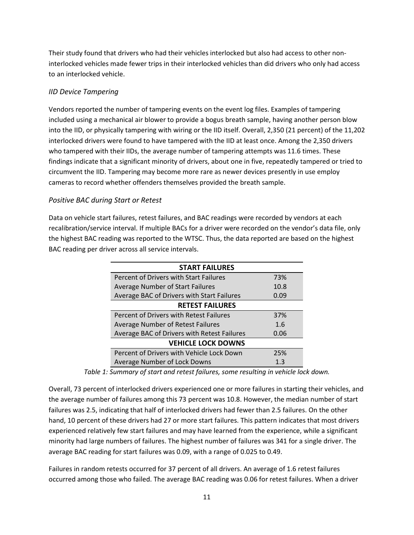Their study found that drivers who had their vehicles interlocked but also had access to other noninterlocked vehicles made fewer trips in their interlocked vehicles than did drivers who only had access to an interlocked vehicle.

### <span id="page-10-0"></span>*IID Device Tampering*

Vendors reported the number of tampering events on the event log files. Examples of tampering included using a mechanical air blower to provide a bogus breath sample, having another person blow into the IID, or physically tampering with wiring or the IID itself. Overall, 2,350 (21 percent) of the 11,202 interlocked drivers were found to have tampered with the IID at least once. Among the 2,350 drivers who tampered with their IIDs, the average number of tampering attempts was 11.6 times. These findings indicate that a significant minority of drivers, about one in five, repeatedly tampered or tried to circumvent the IID. Tampering may become more rare as newer devices presently in use employ cameras to record whether offenders themselves provided the breath sample.

#### <span id="page-10-1"></span>*Positive BAC during Start or Retest*

Data on vehicle start failures, retest failures, and BAC readings were recorded by vendors at each recalibration/service interval. If multiple BACs for a driver were recorded on the vendor's data file, only the highest BAC reading was reported to the WTSC. Thus, the data reported are based on the highest BAC reading per driver across all service intervals.

| <b>START FAILURES</b>                       |      |  |  |
|---------------------------------------------|------|--|--|
| Percent of Drivers with Start Failures      | 73%  |  |  |
| Average Number of Start Failures            | 10.8 |  |  |
| Average BAC of Drivers with Start Failures  | 0.09 |  |  |
| <b>RETEST FAILURES</b>                      |      |  |  |
| Percent of Drivers with Retest Failures     | 37%  |  |  |
| Average Number of Retest Failures           | 1.6  |  |  |
| Average BAC of Drivers with Retest Failures | 0.06 |  |  |
| <b>VEHICLE LOCK DOWNS</b>                   |      |  |  |
| Percent of Drivers with Vehicle Lock Down   | 25%  |  |  |
| Average Number of Lock Downs                | 1.3  |  |  |

*Table 1: Summary of start and retest failures, some resulting in vehicle lock down.*

Overall, 73 percent of interlocked drivers experienced one or more failures in starting their vehicles, and the average number of failures among this 73 percent was 10.8. However, the median number of start failures was 2.5, indicating that half of interlocked drivers had fewer than 2.5 failures. On the other hand, 10 percent of these drivers had 27 or more start failures. This pattern indicates that most drivers experienced relatively few start failures and may have learned from the experience, while a significant minority had large numbers of failures. The highest number of failures was 341 for a single driver. The average BAC reading for start failures was 0.09, with a range of 0.025 to 0.49.

Failures in random retests occurred for 37 percent of all drivers. An average of 1.6 retest failures occurred among those who failed. The average BAC reading was 0.06 for retest failures. When a driver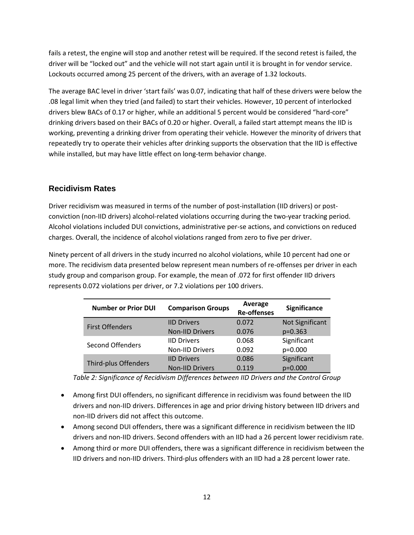fails a retest, the engine will stop and another retest will be required. If the second retest is failed, the driver will be "locked out" and the vehicle will not start again until it is brought in for vendor service. Lockouts occurred among 25 percent of the drivers, with an average of 1.32 lockouts.

The average BAC level in driver 'start fails' was 0.07, indicating that half of these drivers were below the .08 legal limit when they tried (and failed) to start their vehicles. However, 10 percent of interlocked drivers blew BACs of 0.17 or higher, while an additional 5 percent would be considered "hard-core" drinking drivers based on their BACs of 0.20 or higher. Overall, a failed start attempt means the IID is working, preventing a drinking driver from operating their vehicle. However the minority of drivers that repeatedly try to operate their vehicles after drinking supports the observation that the IID is effective while installed, but may have little effect on long-term behavior change.

### <span id="page-11-0"></span>**Recidivism Rates**

Driver recidivism was measured in terms of the number of post-installation (IID drivers) or postconviction (non-IID drivers) alcohol-related violations occurring during the two-year tracking period. Alcohol violations included DUI convictions, administrative per-se actions, and convictions on reduced charges. Overall, the incidence of alcohol violations ranged from zero to five per driver.

Ninety percent of all drivers in the study incurred no alcohol violations, while 10 percent had one or more. The recidivism data presented below represent mean numbers of re-offenses per driver in each study group and comparison group. For example, the mean of .072 for first offender IID drivers represents 0.072 violations per driver, or 7.2 violations per 100 drivers.

| <b>Number or Prior DUI</b> | <b>Comparison Groups</b> | Average<br><b>Re-offenses</b> | <b>Significance</b> |
|----------------------------|--------------------------|-------------------------------|---------------------|
| <b>First Offenders</b>     | <b>IID Drivers</b>       | 0.072                         | Not Significant     |
|                            | <b>Non-IID Drivers</b>   | 0.076                         | $p=0.363$           |
| Second Offenders           | <b>IID Drivers</b>       | 0.068                         | Significant         |
|                            | <b>Non-IID Drivers</b>   | 0.092                         | p=0.000             |
| Third-plus Offenders       | <b>IID Drivers</b>       | 0.086                         | Significant         |
|                            | <b>Non-IID Drivers</b>   | 0.119                         | $p=0.000$           |

*Table 2: Significance of Recidivism Differences between IID Drivers and the Control Group*

- Among first DUI offenders, no significant difference in recidivism was found between the IID drivers and non-IID drivers. Differences in age and prior driving history between IID drivers and non-IID drivers did not affect this outcome.
- Among second DUI offenders, there was a significant difference in recidivism between the IID drivers and non-IID drivers. Second offenders with an IID had a 26 percent lower recidivism rate.
- Among third or more DUI offenders, there was a significant difference in recidivism between the IID drivers and non-IID drivers. Third-plus offenders with an IID had a 28 percent lower rate.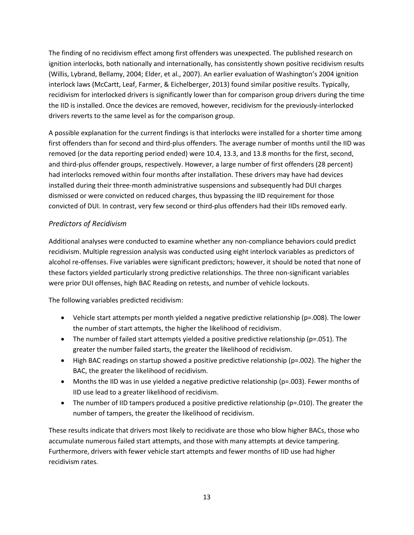The finding of no recidivism effect among first offenders was unexpected. The published research on ignition interlocks, both nationally and internationally, has consistently shown positive recidivism results (Willis, Lybrand, Bellamy, 2004; Elder, et al., 2007). An earlier evaluation of Washington's 2004 ignition interlock laws (McCartt, Leaf, Farmer, & Eichelberger, 2013) found similar positive results. Typically, recidivism for interlocked drivers is significantly lower than for comparison group drivers during the time the IID is installed. Once the devices are removed, however, recidivism for the previously-interlocked drivers reverts to the same level as for the comparison group.

A possible explanation for the current findings is that interlocks were installed for a shorter time among first offenders than for second and third-plus offenders. The average number of months until the IID was removed (or the data reporting period ended) were 10.4, 13.3, and 13.8 months for the first, second, and third-plus offender groups, respectively. However, a large number of first offenders (28 percent) had interlocks removed within four months after installation. These drivers may have had devices installed during their three-month administrative suspensions and subsequently had DUI charges dismissed or were convicted on reduced charges, thus bypassing the IID requirement for those convicted of DUI. In contrast, very few second or third-plus offenders had their IIDs removed early.

### <span id="page-12-0"></span>*Predictors of Recidivism*

Additional analyses were conducted to examine whether any non-compliance behaviors could predict recidivism. Multiple regression analysis was conducted using eight interlock variables as predictors of alcohol re-offenses. Five variables were significant predictors; however, it should be noted that none of these factors yielded particularly strong predictive relationships. The three non-significant variables were prior DUI offenses, high BAC Reading on retests, and number of vehicle lockouts.

The following variables predicted recidivism:

- Vehicle start attempts per month yielded a negative predictive relationship (p=.008). The lower the number of start attempts, the higher the likelihood of recidivism.
- The number of failed start attempts yielded a positive predictive relationship (p=.051). The greater the number failed starts, the greater the likelihood of recidivism.
- High BAC readings on startup showed a positive predictive relationship (p=.002). The higher the BAC, the greater the likelihood of recidivism.
- Months the IID was in use yielded a negative predictive relationship (p=.003). Fewer months of IID use lead to a greater likelihood of recidivism.
- The number of IID tampers produced a positive predictive relationship ( $p=.010$ ). The greater the number of tampers, the greater the likelihood of recidivism.

These results indicate that drivers most likely to recidivate are those who blow higher BACs, those who accumulate numerous failed start attempts, and those with many attempts at device tampering. Furthermore, drivers with fewer vehicle start attempts and fewer months of IID use had higher recidivism rates.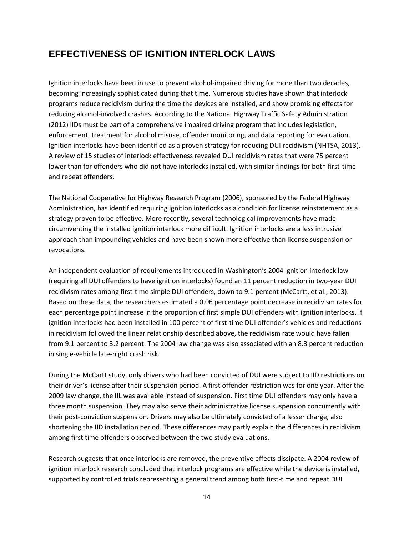## <span id="page-13-0"></span>**EFFECTIVENESS OF IGNITION INTERLOCK LAWS**

Ignition interlocks have been in use to prevent alcohol-impaired driving for more than two decades, becoming increasingly sophisticated during that time. Numerous studies have shown that interlock programs reduce recidivism during the time the devices are installed, and show promising effects for reducing alcohol-involved crashes. According to the National Highway Traffic Safety Administration (2012) IIDs must be part of a comprehensive impaired driving program that includes legislation, enforcement, treatment for alcohol misuse, offender monitoring, and data reporting for evaluation. Ignition interlocks have been identified as a proven strategy for reducing DUI recidivism (NHTSA, 2013). A review of 15 studies of interlock effectiveness revealed DUI recidivism rates that were 75 percent lower than for offenders who did not have interlocks installed, with similar findings for both first-time and repeat offenders.

The National Cooperative for Highway Research Program (2006), sponsored by the Federal Highway Administration, has identified requiring ignition interlocks as a condition for license reinstatement as a strategy proven to be effective. More recently, several technological improvements have made circumventing the installed ignition interlock more difficult. Ignition interlocks are a less intrusive approach than impounding vehicles and have been shown more effective than license suspension or revocations.

An independent evaluation of requirements introduced in Washington's 2004 ignition interlock law (requiring all DUI offenders to have ignition interlocks) found an 11 percent reduction in two-year DUI recidivism rates among first-time simple DUI offenders, down to 9.1 percent (McCartt, et al., 2013). Based on these data, the researchers estimated a 0.06 percentage point decrease in recidivism rates for each percentage point increase in the proportion of first simple DUI offenders with ignition interlocks. If ignition interlocks had been installed in 100 percent of first-time DUI offender's vehicles and reductions in recidivism followed the linear relationship described above, the recidivism rate would have fallen from 9.1 percent to 3.2 percent. The 2004 law change was also associated with an 8.3 percent reduction in single-vehicle late-night crash risk.

During the McCartt study, only drivers who had been convicted of DUI were subject to IID restrictions on their driver's license after their suspension period. A first offender restriction was for one year. After the 2009 law change, the IIL was available instead of suspension. First time DUI offenders may only have a three month suspension. They may also serve their administrative license suspension concurrently with their post-conviction suspension. Drivers may also be ultimately convicted of a lesser charge, also shortening the IID installation period. These differences may partly explain the differences in recidivism among first time offenders observed between the two study evaluations.

Research suggests that once interlocks are removed, the preventive effects dissipate. A 2004 review of ignition interlock research concluded that interlock programs are effective while the device is installed, supported by controlled trials representing a general trend among both first-time and repeat DUI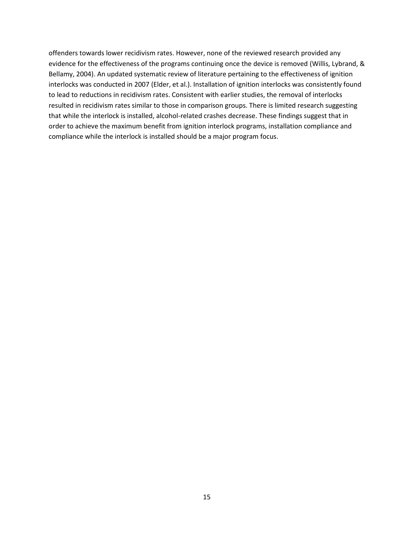offenders towards lower recidivism rates. However, none of the reviewed research provided any evidence for the effectiveness of the programs continuing once the device is removed (Willis, Lybrand, & Bellamy, 2004). An updated systematic review of literature pertaining to the effectiveness of ignition interlocks was conducted in 2007 (Elder, et al.). Installation of ignition interlocks was consistently found to lead to reductions in recidivism rates. Consistent with earlier studies, the removal of interlocks resulted in recidivism rates similar to those in comparison groups. There is limited research suggesting that while the interlock is installed, alcohol-related crashes decrease. These findings suggest that in order to achieve the maximum benefit from ignition interlock programs, installation compliance and compliance while the interlock is installed should be a major program focus.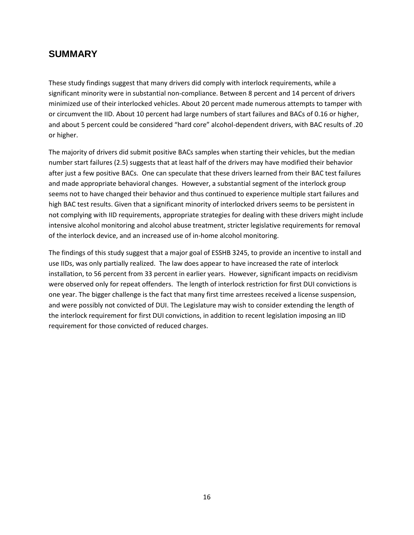### <span id="page-15-0"></span>**SUMMARY**

These study findings suggest that many drivers did comply with interlock requirements, while a significant minority were in substantial non-compliance. Between 8 percent and 14 percent of drivers minimized use of their interlocked vehicles. About 20 percent made numerous attempts to tamper with or circumvent the IID. About 10 percent had large numbers of start failures and BACs of 0.16 or higher, and about 5 percent could be considered "hard core" alcohol-dependent drivers, with BAC results of .20 or higher.

The majority of drivers did submit positive BACs samples when starting their vehicles, but the median number start failures (2.5) suggests that at least half of the drivers may have modified their behavior after just a few positive BACs. One can speculate that these drivers learned from their BAC test failures and made appropriate behavioral changes. However, a substantial segment of the interlock group seems not to have changed their behavior and thus continued to experience multiple start failures and high BAC test results. Given that a significant minority of interlocked drivers seems to be persistent in not complying with IID requirements, appropriate strategies for dealing with these drivers might include intensive alcohol monitoring and alcohol abuse treatment, stricter legislative requirements for removal of the interlock device, and an increased use of in-home alcohol monitoring.

The findings of this study suggest that a major goal of ESSHB 3245, to provide an incentive to install and use IIDs, was only partially realized. The law does appear to have increased the rate of interlock installation, to 56 percent from 33 percent in earlier years. However, significant impacts on recidivism were observed only for repeat offenders. The length of interlock restriction for first DUI convictions is one year. The bigger challenge is the fact that many first time arrestees received a license suspension, and were possibly not convicted of DUI. The Legislature may wish to consider extending the length of the interlock requirement for first DUI convictions, in addition to recent legislation imposing an IID requirement for those convicted of reduced charges.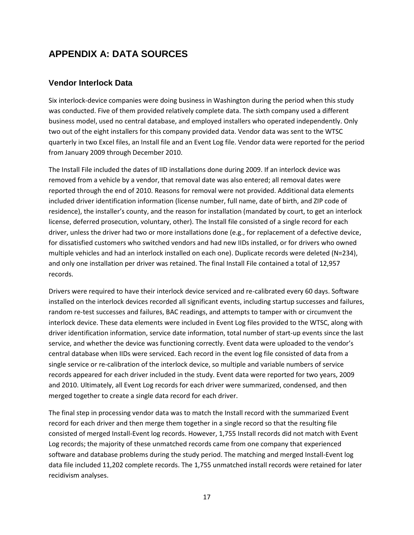## <span id="page-16-0"></span>**APPENDIX A: DATA SOURCES**

### <span id="page-16-1"></span>**Vendor Interlock Data**

Six interlock-device companies were doing business in Washington during the period when this study was conducted. Five of them provided relatively complete data. The sixth company used a different business model, used no central database, and employed installers who operated independently. Only two out of the eight installers for this company provided data. Vendor data was sent to the WTSC quarterly in two Excel files, an Install file and an Event Log file. Vendor data were reported for the period from January 2009 through December 2010.

The Install File included the dates of IID installations done during 2009. If an interlock device was removed from a vehicle by a vendor, that removal date was also entered; all removal dates were reported through the end of 2010. Reasons for removal were not provided. Additional data elements included driver identification information (license number, full name, date of birth, and ZIP code of residence), the installer's county, and the reason for installation (mandated by court, to get an interlock license, deferred prosecution, voluntary, other). The Install file consisted of a single record for each driver, unless the driver had two or more installations done (e.g., for replacement of a defective device, for dissatisfied customers who switched vendors and had new IIDs installed, or for drivers who owned multiple vehicles and had an interlock installed on each one). Duplicate records were deleted (N=234), and only one installation per driver was retained. The final Install File contained a total of 12,957 records.

Drivers were required to have their interlock device serviced and re-calibrated every 60 days. Software installed on the interlock devices recorded all significant events, including startup successes and failures, random re-test successes and failures, BAC readings, and attempts to tamper with or circumvent the interlock device. These data elements were included in Event Log files provided to the WTSC, along with driver identification information, service date information, total number of start-up events since the last service, and whether the device was functioning correctly. Event data were uploaded to the vendor's central database when IIDs were serviced. Each record in the event log file consisted of data from a single service or re-calibration of the interlock device, so multiple and variable numbers of service records appeared for each driver included in the study. Event data were reported for two years, 2009 and 2010. Ultimately, all Event Log records for each driver were summarized, condensed, and then merged together to create a single data record for each driver.

The final step in processing vendor data was to match the Install record with the summarized Event record for each driver and then merge them together in a single record so that the resulting file consisted of merged Install-Event log records. However, 1,755 Install records did not match with Event Log records; the majority of these unmatched records came from one company that experienced software and database problems during the study period. The matching and merged Install-Event log data file included 11,202 complete records. The 1,755 unmatched install records were retained for later recidivism analyses.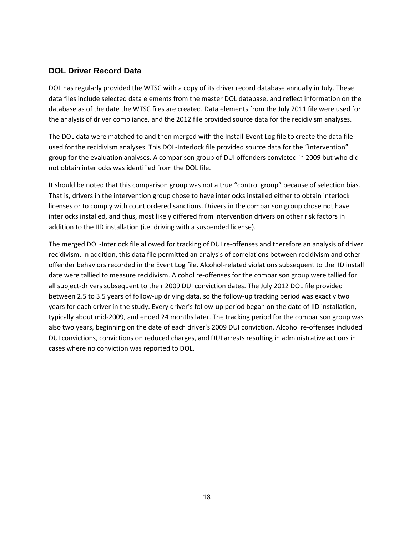### <span id="page-17-0"></span>**DOL Driver Record Data**

DOL has regularly provided the WTSC with a copy of its driver record database annually in July. These data files include selected data elements from the master DOL database, and reflect information on the database as of the date the WTSC files are created. Data elements from the July 2011 file were used for the analysis of driver compliance, and the 2012 file provided source data for the recidivism analyses.

The DOL data were matched to and then merged with the Install-Event Log file to create the data file used for the recidivism analyses. This DOL-Interlock file provided source data for the "intervention" group for the evaluation analyses. A comparison group of DUI offenders convicted in 2009 but who did not obtain interlocks was identified from the DOL file.

It should be noted that this comparison group was not a true "control group" because of selection bias. That is, drivers in the intervention group chose to have interlocks installed either to obtain interlock licenses or to comply with court ordered sanctions. Drivers in the comparison group chose not have interlocks installed, and thus, most likely differed from intervention drivers on other risk factors in addition to the IID installation (i.e. driving with a suspended license).

The merged DOL-Interlock file allowed for tracking of DUI re-offenses and therefore an analysis of driver recidivism. In addition, this data file permitted an analysis of correlations between recidivism and other offender behaviors recorded in the Event Log file. Alcohol-related violations subsequent to the IID install date were tallied to measure recidivism. Alcohol re-offenses for the comparison group were tallied for all subject-drivers subsequent to their 2009 DUI conviction dates. The July 2012 DOL file provided between 2.5 to 3.5 years of follow-up driving data, so the follow-up tracking period was exactly two years for each driver in the study. Every driver's follow-up period began on the date of IID installation, typically about mid-2009, and ended 24 months later. The tracking period for the comparison group was also two years, beginning on the date of each driver's 2009 DUI conviction. Alcohol re-offenses included DUI convictions, convictions on reduced charges, and DUI arrests resulting in administrative actions in cases where no conviction was reported to DOL.